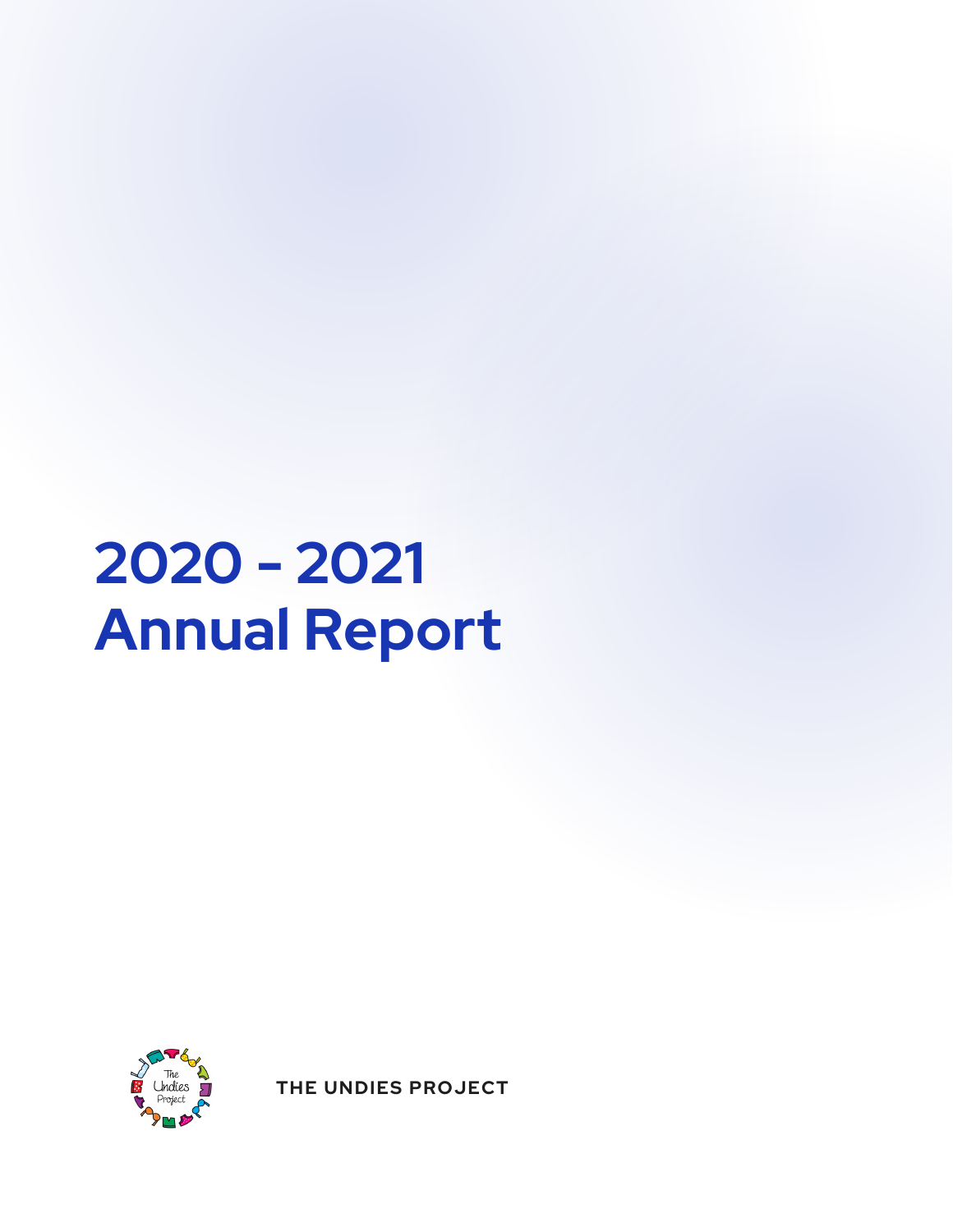# **2020 - 2021 Annual Report**



**THE UNDIES PROJECT**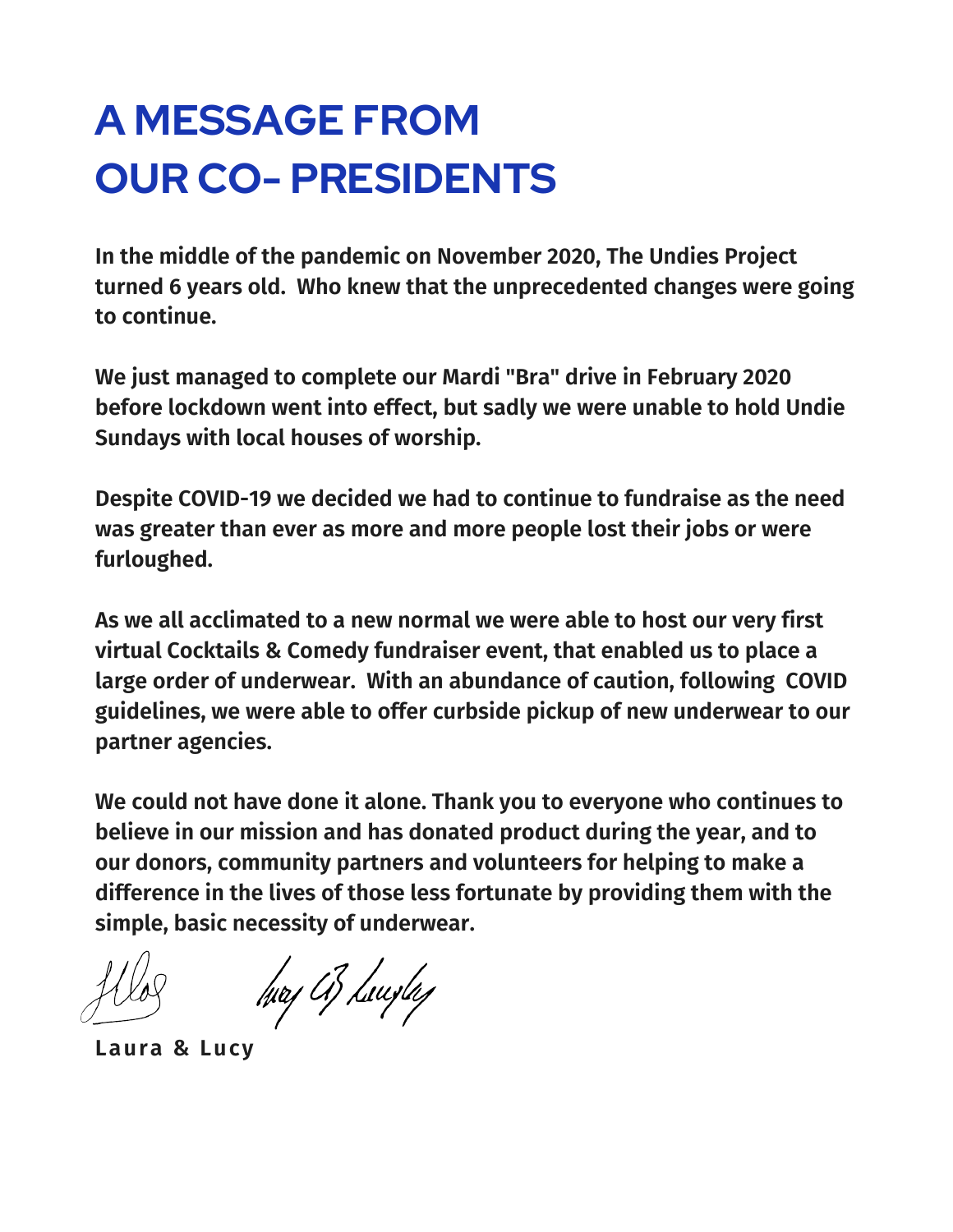### **A MESSAGE FROM OUR CO- PRESIDENTS**

**In the middle of the pandemic on November 2020, The Undies Project turned 6 years old. Who knew that the unprecedented changes were going to continue.**

**We just managed to complete our Mardi "Bra" drive in February 2020 before lockdown went into effect, but sadly we were unable to hold Undie Sundays with local houses of worship.**

**Despite COVID-19 we decided we had to continue to fundraise as the need was greater than ever as more and more people lost their jobs or were furloughed.**

**As we all acclimated to a new normal we were able to host our very first virtual Cocktails & Comedy fundraiser event, that enabled us to place a large order of underwear. With an abundance of caution, following COVID guidelines, we were able to offer curbside pickup of new underwear to our partner agencies.**

**We could not have done it alone. Thank you to everyone who continues to believe in our mission and has donated product during the year, and to our donors, community partners and volunteers for helping to make a difference in the lives of those less fortunate by providing them with the simple, basic necessity of underwear.**

hvaj A3 Luvefaj

**Laura & Lucy**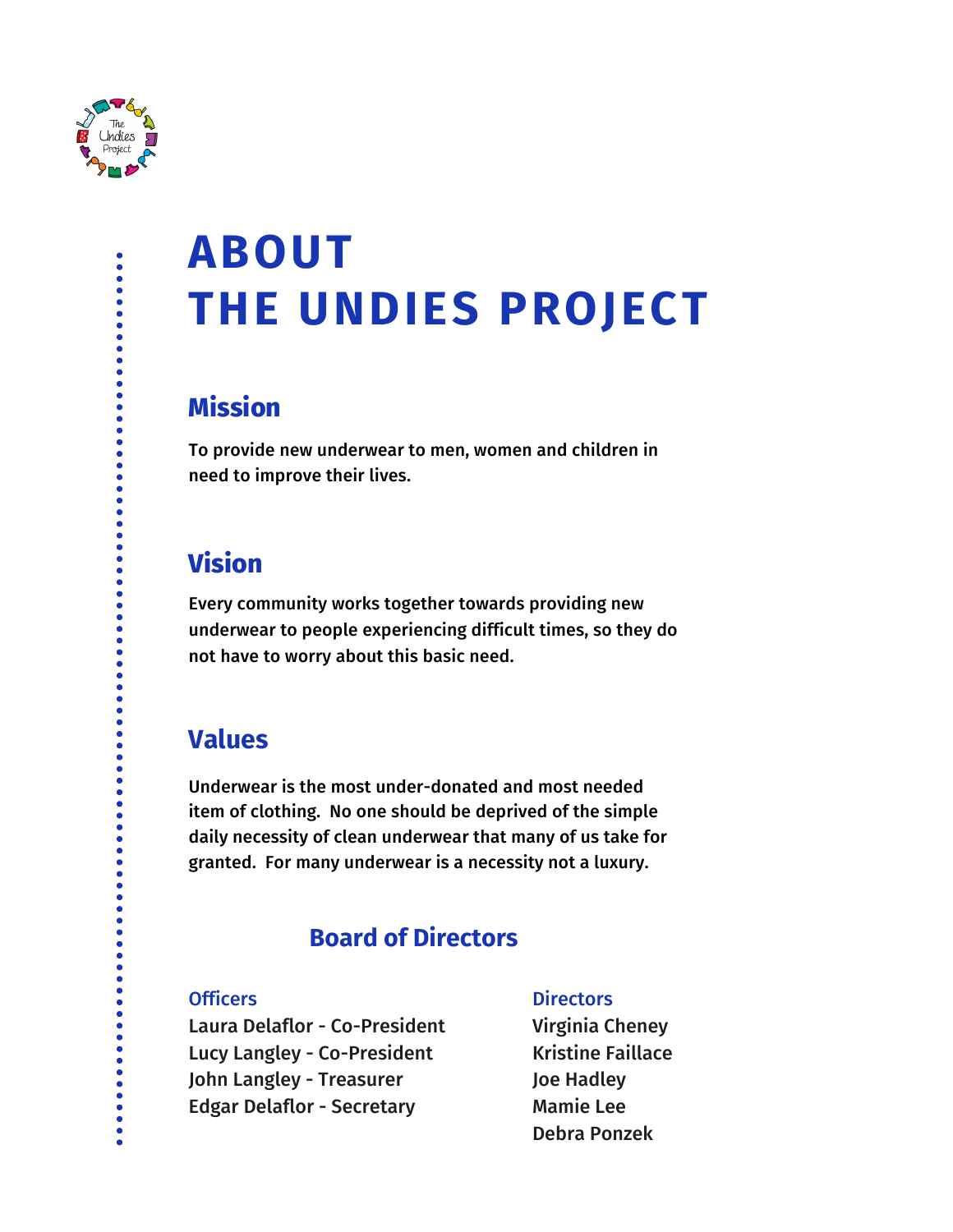

# **ABOUT THE UNDIES PROJECT**

#### **Mission**

To provide new underwear to men, women and children in need to improve their lives.

#### **Vision**

Every community works together towards providing new underwear to people experiencing difficult times, so they do not have to worry about this basic need.

#### **Values**

Underwear is the most under-donated and most needed item of clothing. No one should be deprived of the simple daily necessity of clean underwear that many of us take for granted. For many underwear is a necessity not a luxury.

#### **Board of Directors**

#### **Officers**

Laura Delaflor - Co-President Lucy Langley - Co-President John Langley - Treasurer Edgar Delaflor - Secretary

#### **Directors**

Virginia Cheney Kristine Faillace Joe Hadley Mamie Lee Debra Ponzek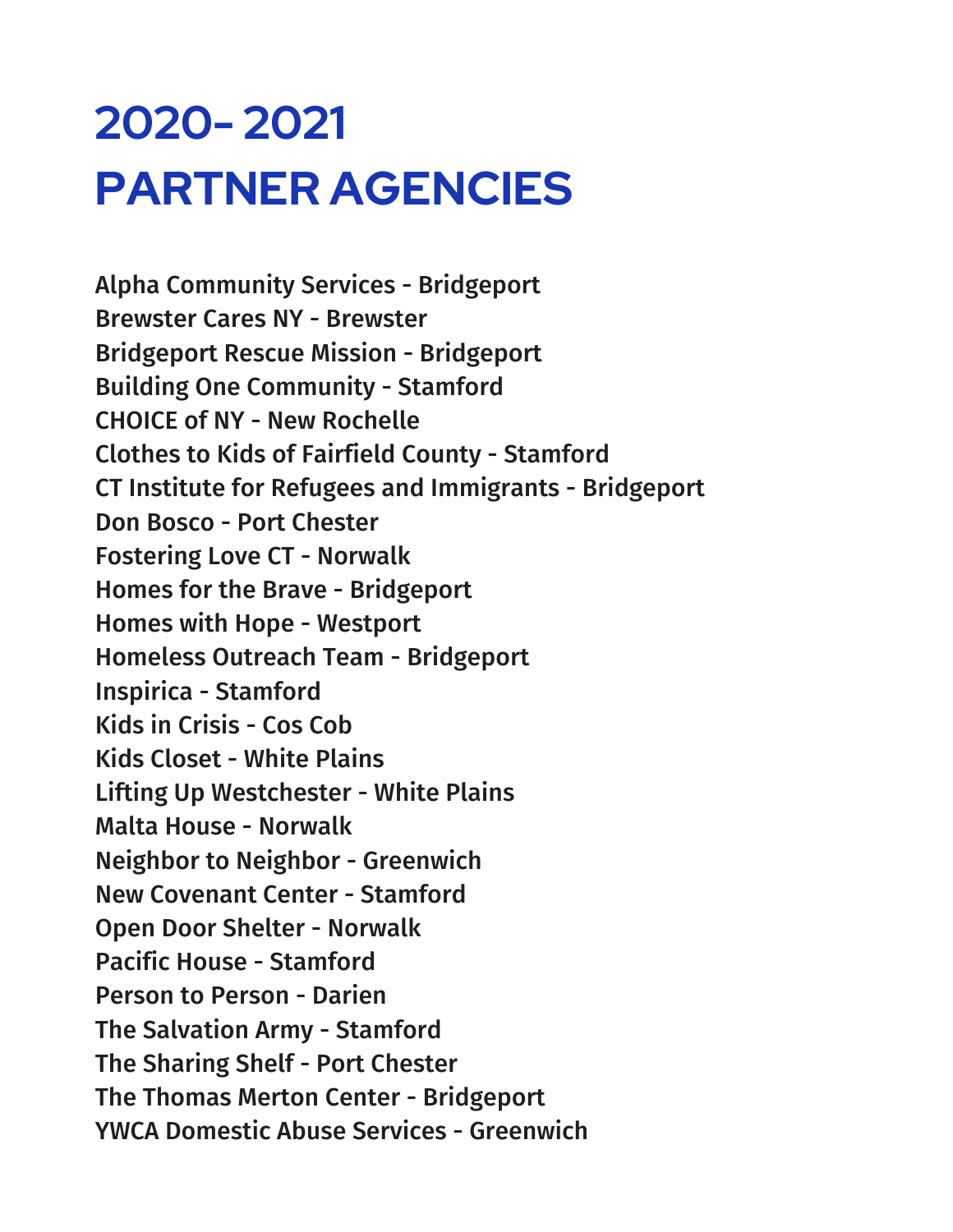# **2020- 2021 PARTNER AGENCIES**

Alpha Community Services - Bridgeport Brewster Cares NY - Brewster Bridgeport Rescue Mission - Bridgeport Building One Community - Stamford CHOICE of NY - New Rochelle Clothes to Kids of Fairfield County - Stamford CT Institute for Refugees and Immigrants - Bridgeport Don Bosco - Port Chester Fostering Love CT - Norwalk Homes for the Brave - Bridgeport Homes with Hope - Westport Homeless Outreach Team - Bridgeport Inspirica - Stamford Kids in Crisis - Cos Cob Kids Closet - White Plains Lifting Up Westchester - White Plains Malta House - Norwalk Neighbor to Neighbor - Greenwich New Covenant Center - Stamford Open Door Shelter - Norwalk Pacific House - Stamford Person to Person - Darien The Salvation Army - Stamford The Sharing Shelf - Port Chester The Thomas Merton Center - Bridgeport YWCA Domestic Abuse Services - Greenwich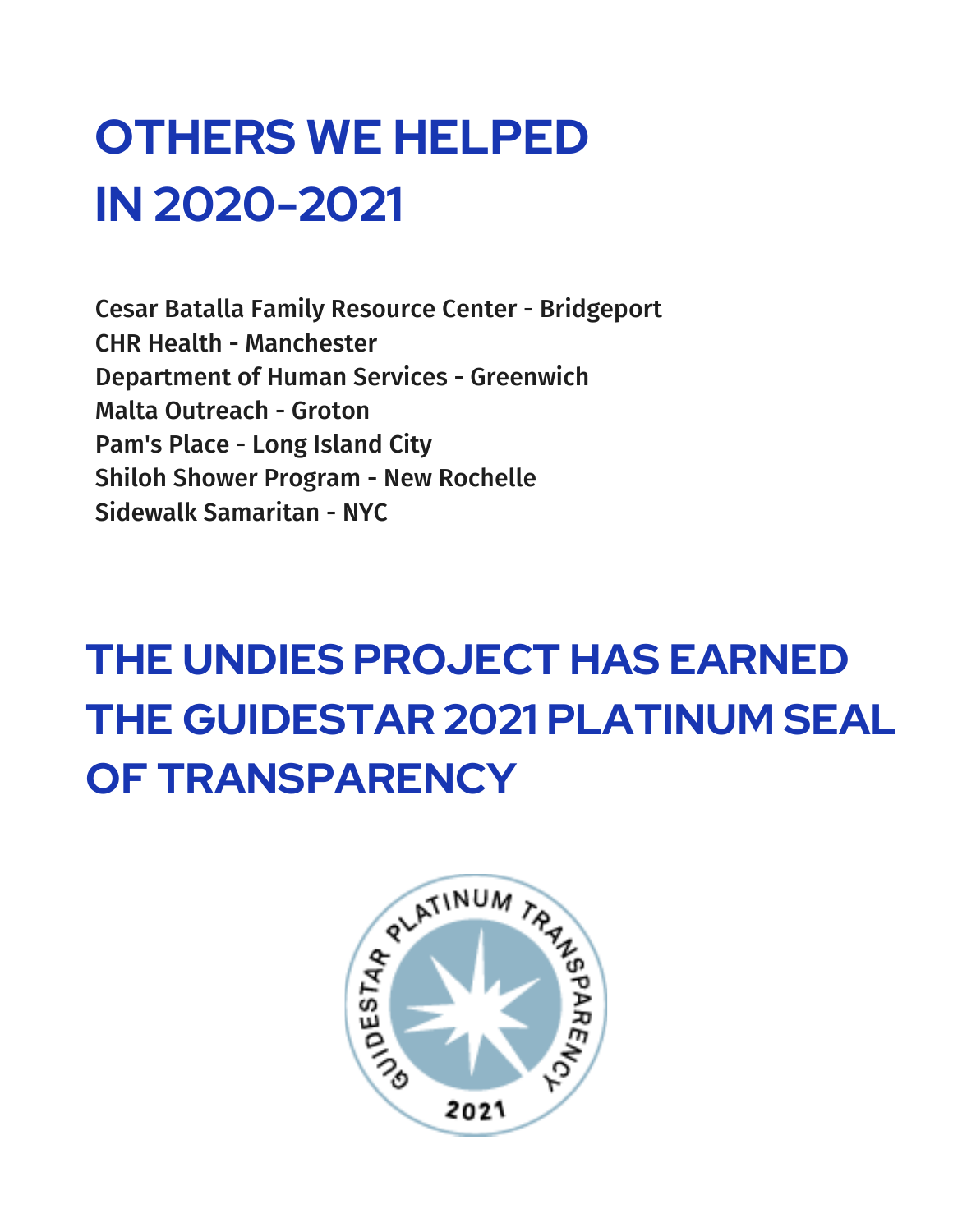# **OTHERS WE HELPED IN 2020-2021**

Cesar Batalla Family Resource Center - Bridgeport CHR Health - Manchester Department of Human Services - Greenwich Malta Outreach - Groton Pam's Place - Long Island City Shiloh Shower Program - New Rochelle Sidewalk Samaritan - NYC

# **THE UNDIES PROJECT HAS EARNED THE GUIDESTAR 2021 PLATINUM SEAL**

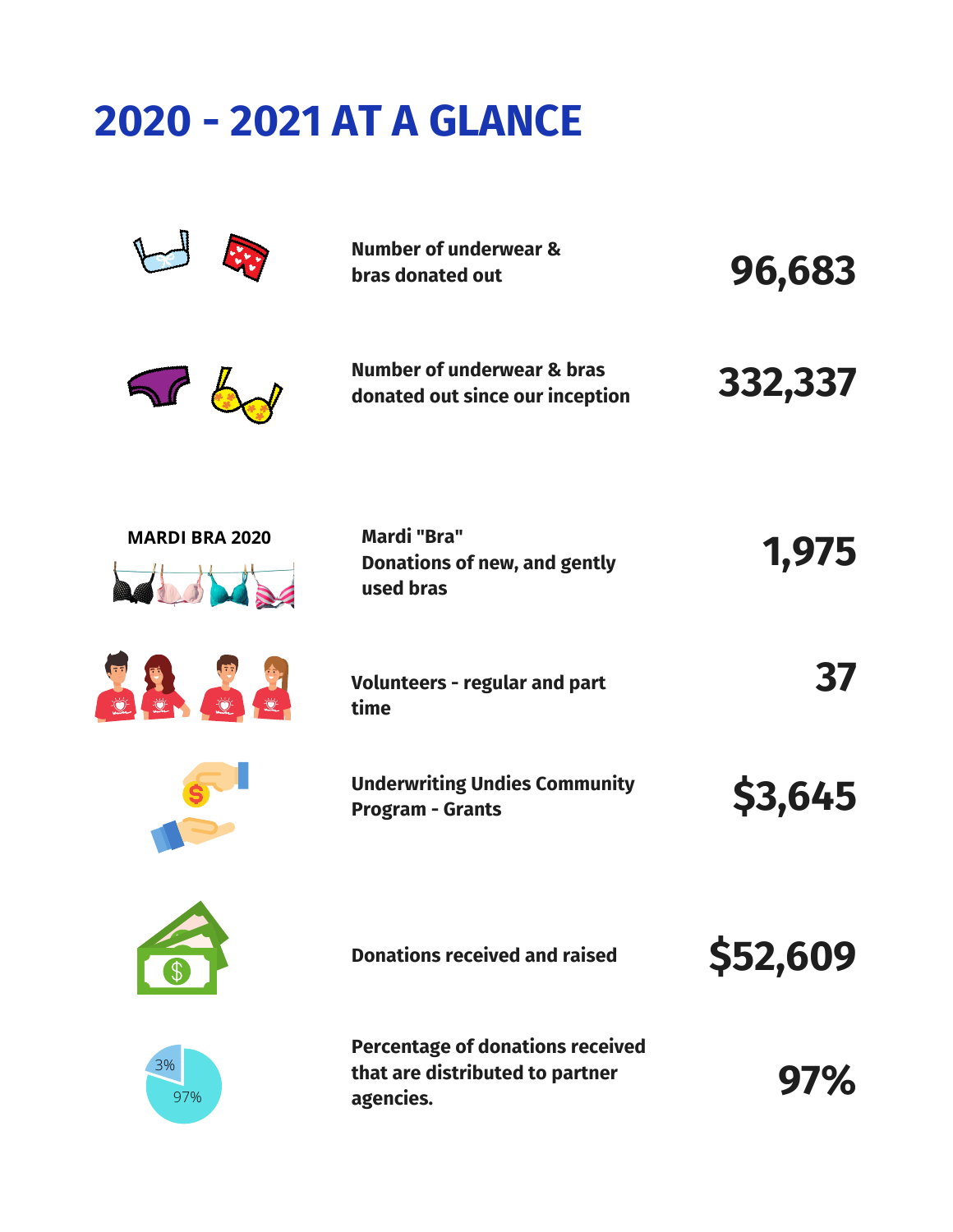### **2020 - 2021 AT A GLANCE**

|                       | <b>Number of underwear &amp;</b><br>bras donated out                                    | 96,683         |
|-----------------------|-----------------------------------------------------------------------------------------|----------------|
|                       | Number of underwear & bras<br>donated out since our inception                           | 332,337        |
| <b>MARDI BRA 2020</b> | <b>Mardi "Bra"</b><br>Donations of new, and gently<br>used bras                         | 1,975          |
|                       | <b>Volunteers - regular and part</b><br>time                                            | 37             |
|                       | <b>Underwriting Undies Community</b><br><b>Program - Grants</b>                         | <b>\$3,645</b> |
|                       | <b>Donations received and raised</b>                                                    | \$52,609       |
| 3%<br>97%             | <b>Percentage of donations received</b><br>that are distributed to partner<br>agencies. | 97%            |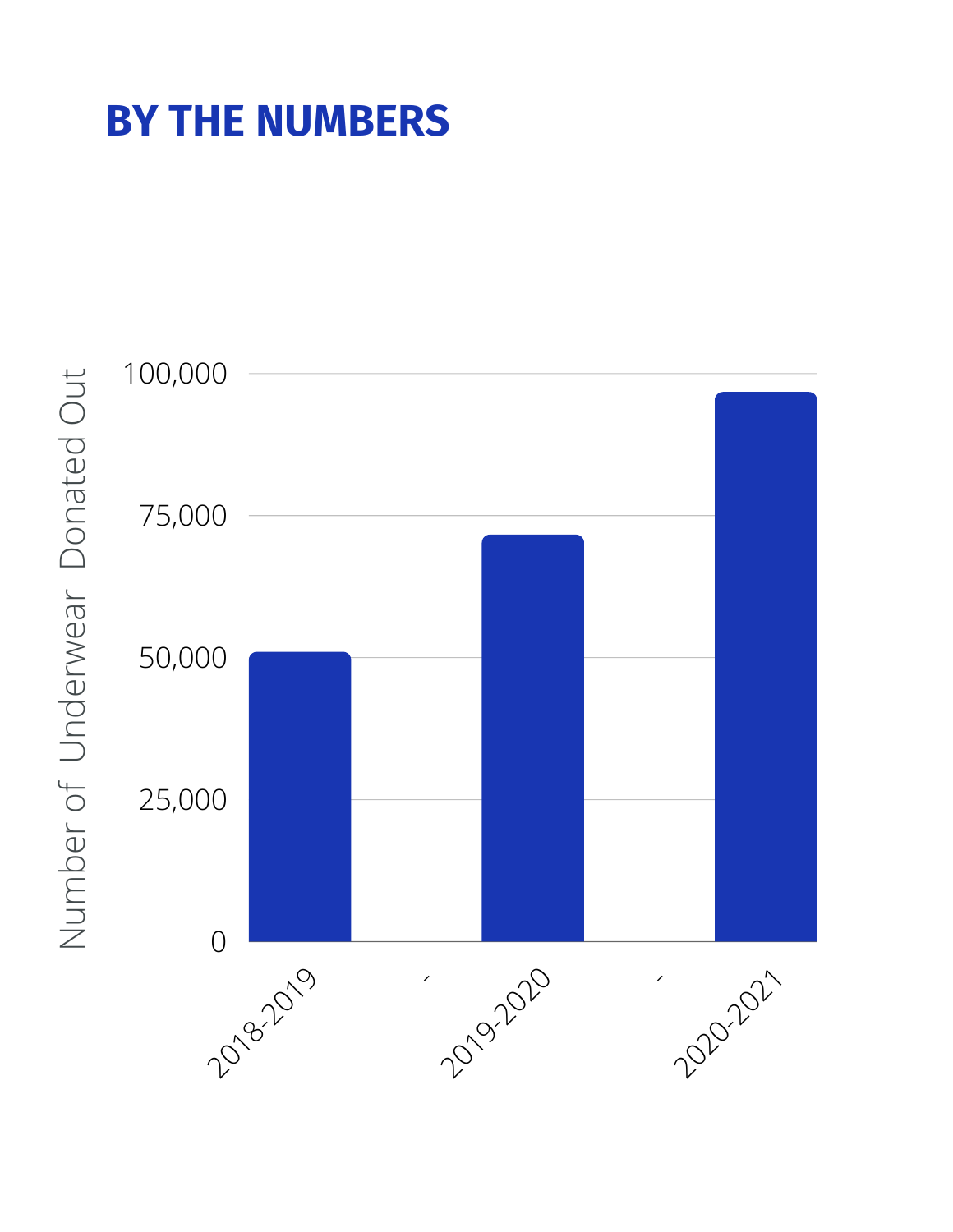### **BY THE NUMBERS**



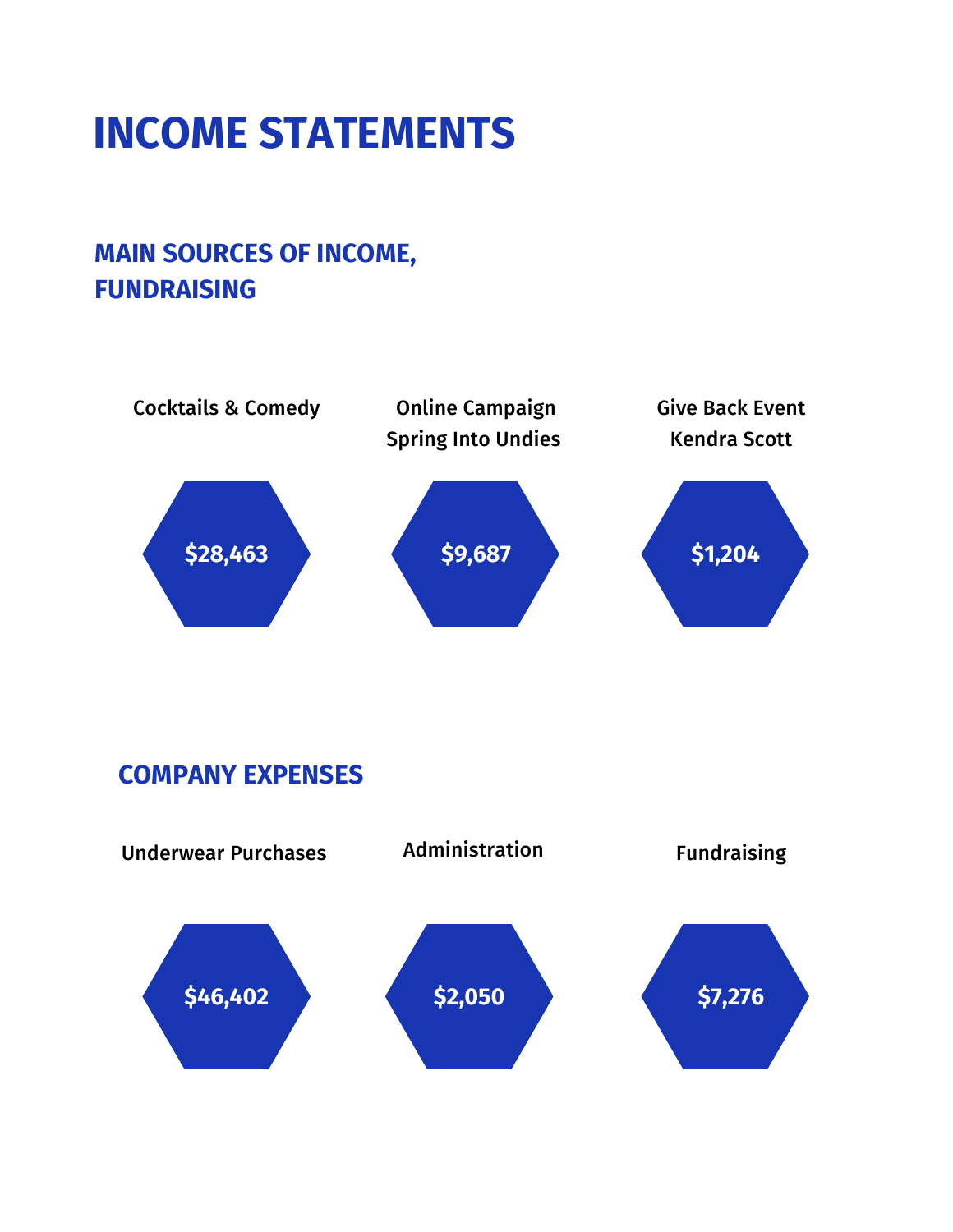### **INCOME STATEMENTS**

#### **MAIN SOURCES OF INCOME, FUNDRAISING**



#### **COMPANY EXPENSES**

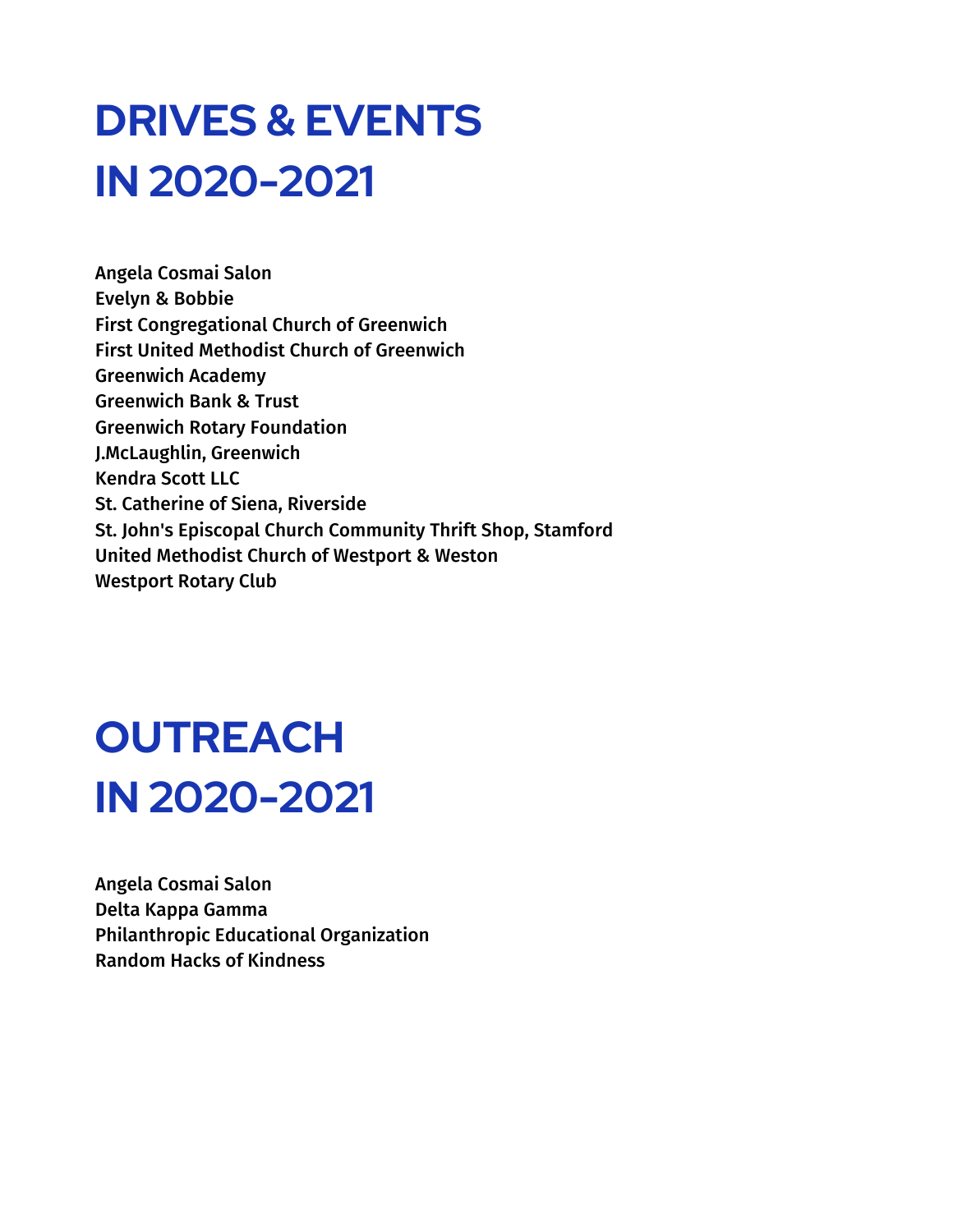# **DRIVES & EVENTS IN 2020-2021**

Angela Cosmai Salon Evelyn & Bobbie First Congregational Church of Greenwich First United Methodist Church of Greenwich Greenwich Academy Greenwich Bank & Trust Greenwich Rotary Foundation J.McLaughlin, Greenwich Kendra Scott LLC St. Catherine of Siena, Riverside St. John's Episcopal Church Community Thrift Shop, Stamford United Methodist Church of Westport & Weston Westport Rotary Club

# **OUTREACH IN 2020-2021**

Angela Cosmai Salon Delta Kappa Gamma Philanthropic Educational Organization Random Hacks of Kindness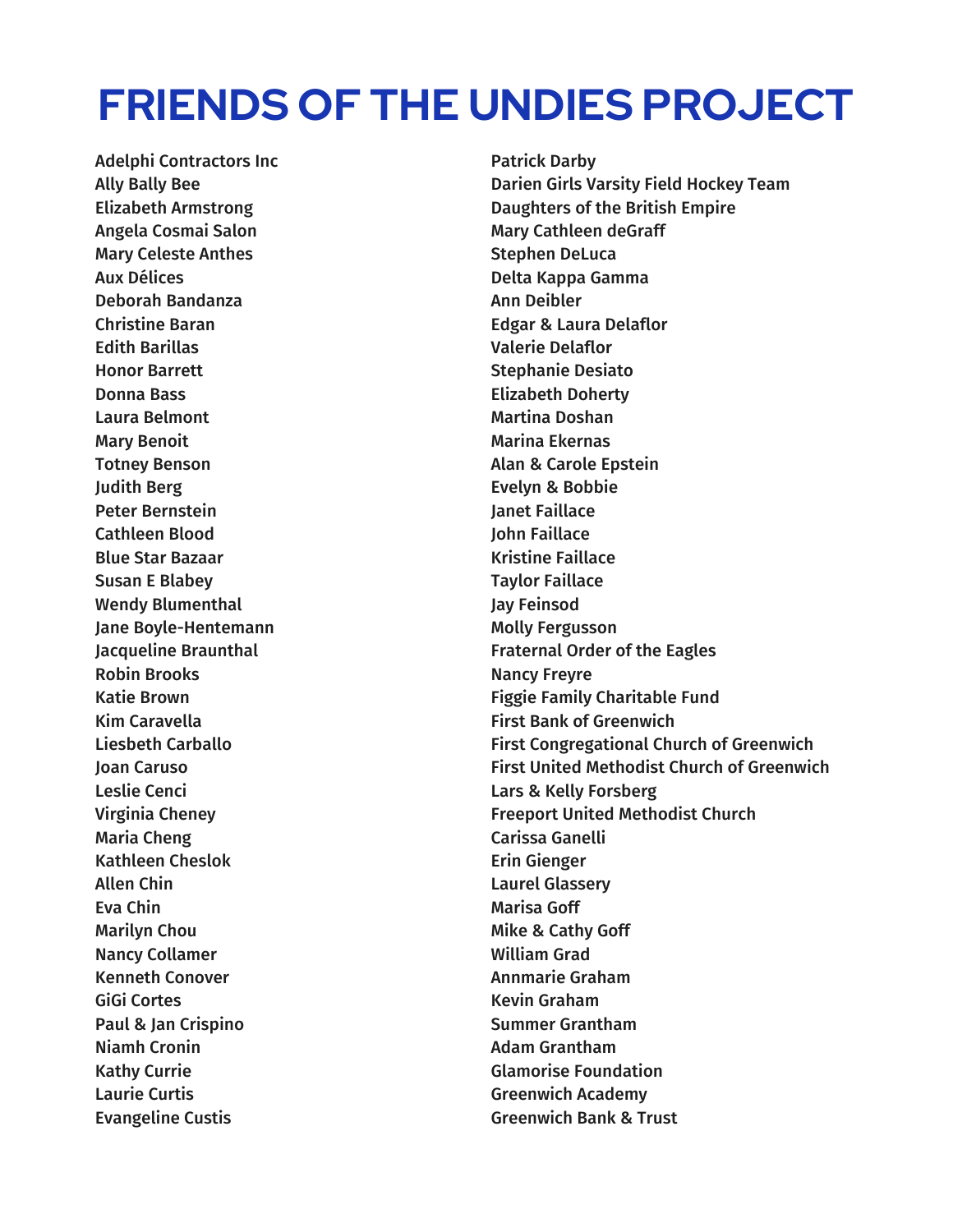### **FRIENDS OF THE UNDIES PROJECT**

Adelphi Contractors Inc Ally Bally Bee Elizabeth Armstrong Angela Cosmai Salon Mary Celeste Anthes Aux Délices Deborah Bandanza Christine Baran Edith Barillas Honor Barrett Donna Bass Laura Belmont Mary Benoit Totney Benson Judith Berg Peter Bernstein Cathleen Blood Blue Star Bazaar Susan E Blabey Wendy Blumenthal Jane Boyle-Hentemann Jacqueline Braunthal Robin Brooks Katie Brown Kim Caravella Liesbeth Carballo Joan Caruso Leslie Cenci Virginia Cheney Maria Cheng Kathleen Cheslok Allen Chin Eva Chin Marilyn Chou Nancy Collamer Kenneth Conover GiGi Cortes Paul & Jan Crispino Niamh Cronin Kathy Currie Laurie Curtis Evangeline Custis

Patrick Darby Darien Girls Varsity Field Hockey Team Daughters of the British Empire Mary Cathleen deGraff Stephen DeLuca Delta Kappa Gamma Ann Deibler Edgar & Laura Delaflor Valerie Delaflor Stephanie Desiato Elizabeth Doherty Martina Doshan Marina Ekernas Alan & Carole Epstein Evelyn & Bobbie Janet Faillace John Faillace Kristine Faillace Taylor Faillace Jay Feinsod Molly Fergusson Fraternal Order of the Eagles Nancy Freyre Figgie Family Charitable Fund First Bank of Greenwich First Congregational Church of Greenwich First United Methodist Church of Greenwich Lars & Kelly Forsberg Freeport United Methodist Church Carissa Ganelli Erin Gienger Laurel Glassery Marisa Goff Mike & Cathy Goff William Grad Annmarie Graham Kevin Graham Summer Grantham Adam Grantham Glamorise Foundation Greenwich Academy Greenwich Bank & Trust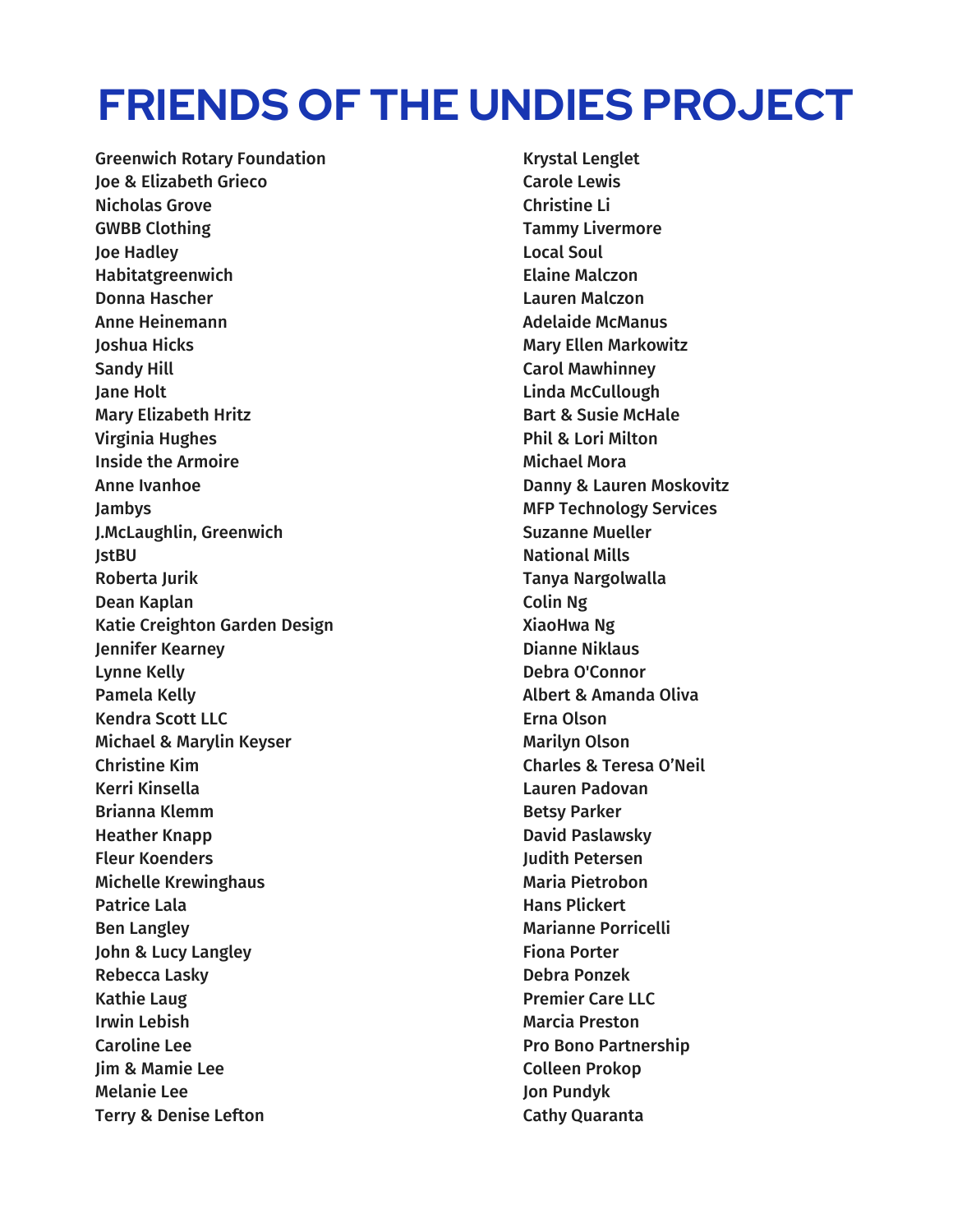### **FRIENDS OF THE UNDIES PROJECT**

Greenwich Rotary Foundation Joe & Elizabeth Grieco Nicholas Grove GWBB Clothing Joe Hadley Habitatgreenwich Donna Hascher Anne Heinemann Joshua Hicks Sandy Hill Jane Holt Mary Elizabeth Hritz Virginia Hughes Inside the Armoire Anne Ivanhoe Jambys J.McLaughlin, Greenwich JstBU Roberta Jurik Dean Kaplan Katie Creighton Garden Design Jennifer Kearney Lynne Kelly Pamela Kelly Kendra Scott LLC Michael & Marylin Keyser Christine Kim Kerri Kinsella Brianna Klemm Heather Knapp Fleur Koenders Michelle Krewinghaus Patrice Lala Ben Langley John & Lucy Langley Rebecca Lasky Kathie Laug Irwin Lebish Caroline Lee Jim & Mamie Lee Melanie Lee Terry & Denise Lefton

Krystal Lenglet Carole Lewis Christine Li Tammy Livermore Local Soul Elaine Malczon Lauren Malczon Adelaide McManus Mary Ellen Markowitz Carol Mawhinney Linda McCullough Bart & Susie McHale Phil & Lori Milton Michael Mora Danny & Lauren Moskovitz MFP Technology Services Suzanne Mueller National Mills Tanya Nargolwalla Colin Ng XiaoHwa Ng Dianne Niklaus Debra O'Connor Albert & Amanda Oliva Erna Olson Marilyn Olson Charles & Teresa O'Neil Lauren Padovan Betsy Parker David Paslawsky Judith Petersen Maria Pietrobon Hans Plickert Marianne Porricelli Fiona Porter Debra Ponzek Premier Care LLC Marcia Preston Pro Bono Partnership Colleen Prokop Jon Pundyk Cathy Quaranta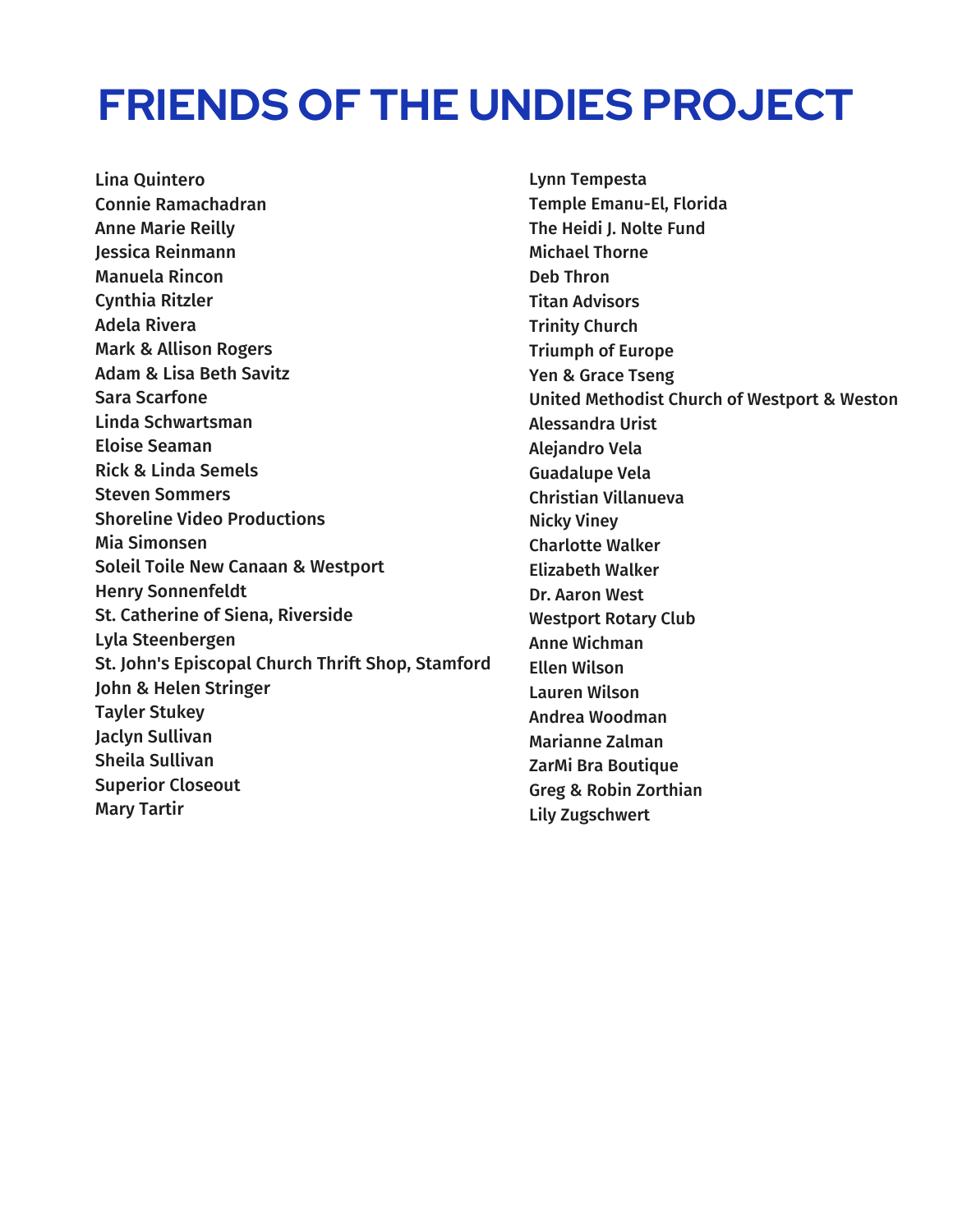### **FRIENDS OF THE UNDIES PROJECT**

Lina Quintero Connie Ramachadran Anne Marie Reilly Jessica Reinmann Manuela Rincon Cynthia Ritzler Adela Rivera Mark & Allison Rogers Adam & Lisa Beth Savitz Sara Scarfone Linda Schwartsman Eloise Seaman Rick & Linda Semels Steven Sommers Shoreline Video Productions Mia Simonsen Soleil Toile New Canaan & Westport Henry Sonnenfeldt St. Catherine of Siena, Riverside Lyla Steenbergen St. John's Episcopal Church Thrift Shop, Stamford John & Helen Stringer Tayler Stukey Jaclyn Sullivan Sheila Sullivan Superior Closeout Mary Tartir

Lynn Tempesta Temple Emanu-El, Florida The Heidi J. Nolte Fund Michael Thorne Deb Thron Titan Advisors Trinity Church Triumph of Europe Yen & Grace Tseng United Methodist Church of Westport & Weston Alessandra Urist Alejandro Vela Guadalupe Vela Christian Villanueva Nicky Viney Charlotte Walker Elizabeth Walker Dr. Aaron West Westport Rotary Club Anne Wichman Ellen Wilson Lauren Wilson Andrea Woodman Marianne Zalman ZarMi Bra Boutique Greg & Robin Zorthian Lily Zugschwert